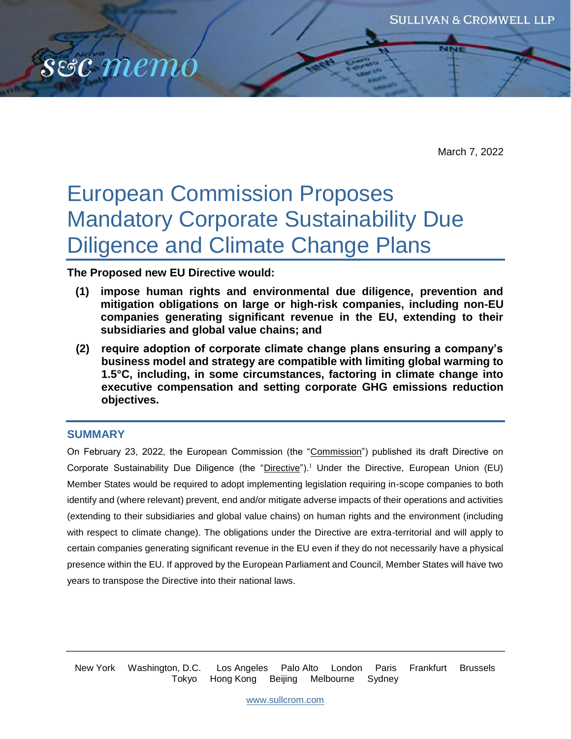

March 7, 2022

# European Commission Proposes Mandatory Corporate Sustainability Due Diligence and Climate Change Plans

**The Proposed new EU Directive would:**

- **(1) impose human rights and environmental due diligence, prevention and mitigation obligations on large or high-risk companies, including non-EU companies generating significant revenue in the EU, extending to their subsidiaries and global value chains; and**
- **(2) require adoption of corporate climate change plans ensuring a company's business model and strategy are compatible with limiting global warming to 1.5°C, including, in some circumstances, factoring in climate change into executive compensation and setting corporate GHG emissions reduction objectives.**

## **SUMMARY**

On February 23, 2022, the European Commission (the "Commission") published its draft Directive on Corporate Sustainability Due Diligence (the "Directive").<sup>1</sup> Under the Directive, European Union (EU) Member States would be required to adopt implementing legislation requiring in-scope companies to both identify and (where relevant) prevent, end and/or mitigate adverse impacts of their operations and activities (extending to their subsidiaries and global value chains) on human rights and the environment (including with respect to climate change). The obligations under the Directive are extra-territorial and will apply to certain companies generating significant revenue in the EU even if they do not necessarily have a physical presence within the EU. If approved by the European Parliament and Council, Member States will have two years to transpose the Directive into their national laws.

New York Washington, D.C. Los Angeles Palo Alto London Paris Frankfurt Brussels Tokyo Hong Kong Beijing Melbourne Sydney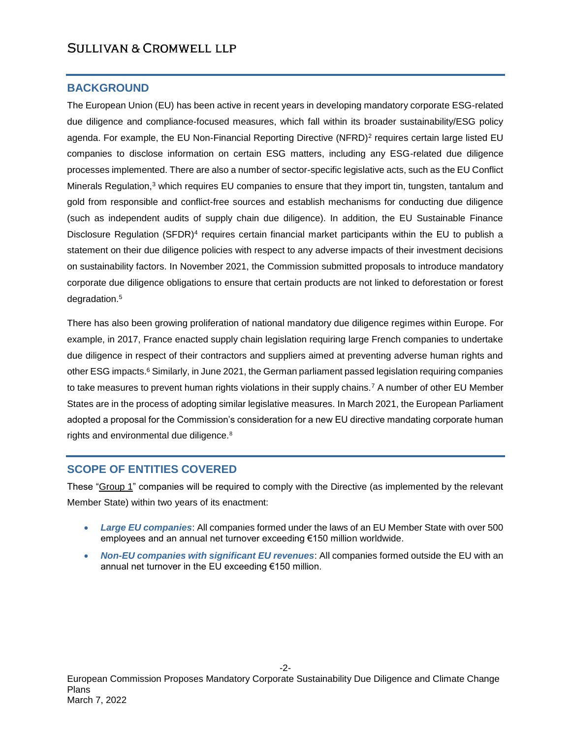#### **BACKGROUND**

The European Union (EU) has been active in recent years in developing mandatory corporate ESG-related due diligence and compliance-focused measures, which fall within its broader sustainability/ESG policy agenda. For example, the EU Non-Financial Reporting Directive (NFRD)<sup>2</sup> requires certain large listed EU companies to disclose information on certain ESG matters, including any ESG-related due diligence processes implemented. There are also a number of sector-specific legislative acts, such as the EU Conflict Minerals Regulation,<sup>3</sup> which requires EU companies to ensure that they import tin, tungsten, tantalum and gold from responsible and conflict-free sources and establish mechanisms for conducting due diligence (such as independent audits of supply chain due diligence). In addition, the EU Sustainable Finance Disclosure Regulation (SFDR)<sup>4</sup> requires certain financial market participants within the EU to publish a statement on their due diligence policies with respect to any adverse impacts of their investment decisions on sustainability factors. In November 2021, the Commission submitted proposals to introduce mandatory corporate due diligence obligations to ensure that certain products are not linked to deforestation or forest degradation.<sup>5</sup>

There has also been growing proliferation of national mandatory due diligence regimes within Europe. For example, in 2017, France enacted supply chain legislation requiring large French companies to undertake due diligence in respect of their contractors and suppliers aimed at preventing adverse human rights and other ESG impacts.<sup>6</sup> Similarly, in June 2021, the German parliament passed legislation requiring companies to take measures to prevent human rights violations in their supply chains.<sup>7</sup> A number of other EU Member States are in the process of adopting similar legislative measures. In March 2021, the European Parliament adopted a proposal for the Commission's consideration for a new EU directive mandating corporate human rights and environmental due diligence.<sup>8</sup>

## **SCOPE OF ENTITIES COVERED**

These "Group 1" companies will be required to comply with the Directive (as implemented by the relevant Member State) within two years of its enactment:

- *Large EU companies*: All companies formed under the laws of an EU Member State with over 500 employees and an annual net turnover exceeding €150 million worldwide.
- *Non-EU companies with significant EU revenues*: All companies formed outside the EU with an annual net turnover in the EU exceeding €150 million.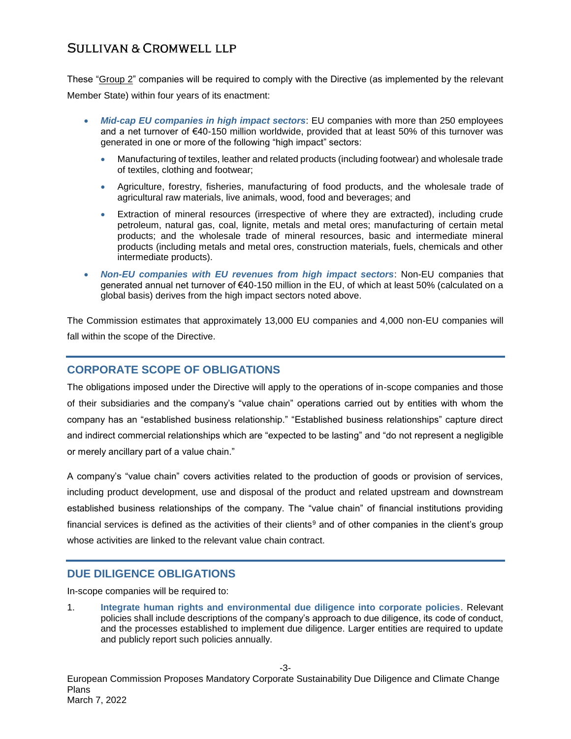These "Group 2" companies will be required to comply with the Directive (as implemented by the relevant Member State) within four years of its enactment:

- *Mid-cap EU companies in high impact sectors*: EU companies with more than 250 employees and a net turnover of €40-150 million worldwide, provided that at least 50% of this turnover was generated in one or more of the following "high impact" sectors:
	- Manufacturing of textiles, leather and related products (including footwear) and wholesale trade of textiles, clothing and footwear;
	- Agriculture, forestry, fisheries, manufacturing of food products, and the wholesale trade of agricultural raw materials, live animals, wood, food and beverages; and
	- Extraction of mineral resources (irrespective of where they are extracted), including crude petroleum, natural gas, coal, lignite, metals and metal ores; manufacturing of certain metal products; and the wholesale trade of mineral resources, basic and intermediate mineral products (including metals and metal ores, construction materials, fuels, chemicals and other intermediate products).
- *Non-EU companies with EU revenues from high impact sectors*: Non-EU companies that generated annual net turnover of €40-150 million in the EU, of which at least 50% (calculated on a global basis) derives from the high impact sectors noted above.

The Commission estimates that approximately 13,000 EU companies and 4,000 non-EU companies will fall within the scope of the Directive.

## **CORPORATE SCOPE OF OBLIGATIONS**

The obligations imposed under the Directive will apply to the operations of in-scope companies and those of their subsidiaries and the company's "value chain" operations carried out by entities with whom the company has an "established business relationship." "Established business relationships" capture direct and indirect commercial relationships which are "expected to be lasting" and "do not represent a negligible or merely ancillary part of a value chain."

A company's "value chain" covers activities related to the production of goods or provision of services, including product development, use and disposal of the product and related upstream and downstream established business relationships of the company. The "value chain" of financial institutions providing financial services is defined as the activities of their clients<sup>9</sup> and of other companies in the client's group whose activities are linked to the relevant value chain contract.

## **DUE DILIGENCE OBLIGATIONS**

In-scope companies will be required to:

1. **Integrate human rights and environmental due diligence into corporate policies**. Relevant policies shall include descriptions of the company's approach to due diligence, its code of conduct, and the processes established to implement due diligence. Larger entities are required to update and publicly report such policies annually.

European Commission Proposes Mandatory Corporate Sustainability Due Diligence and Climate Change Plans March 7, 2022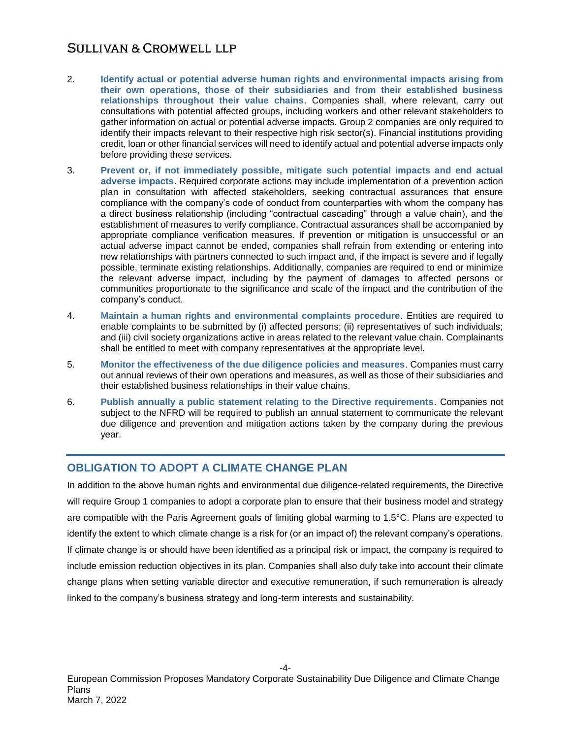- 2. **Identify actual or potential adverse human rights and environmental impacts arising from their own operations, those of their subsidiaries and from their established business relationships throughout their value chains**. Companies shall, where relevant, carry out consultations with potential affected groups, including workers and other relevant stakeholders to gather information on actual or potential adverse impacts. Group 2 companies are only required to identify their impacts relevant to their respective high risk sector(s). Financial institutions providing credit, loan or other financial services will need to identify actual and potential adverse impacts only before providing these services.
- 3. **Prevent or, if not immediately possible, mitigate such potential impacts and end actual adverse impacts**. Required corporate actions may include implementation of a prevention action plan in consultation with affected stakeholders, seeking contractual assurances that ensure compliance with the company's code of conduct from counterparties with whom the company has a direct business relationship (including "contractual cascading" through a value chain), and the establishment of measures to verify compliance. Contractual assurances shall be accompanied by appropriate compliance verification measures. If prevention or mitigation is unsuccessful or an actual adverse impact cannot be ended, companies shall refrain from extending or entering into new relationships with partners connected to such impact and, if the impact is severe and if legally possible, terminate existing relationships. Additionally, companies are required to end or minimize the relevant adverse impact, including by the payment of damages to affected persons or communities proportionate to the significance and scale of the impact and the contribution of the company's conduct.
- 4. **Maintain a human rights and environmental complaints procedure**. Entities are required to enable complaints to be submitted by (i) affected persons; (ii) representatives of such individuals; and (iii) civil society organizations active in areas related to the relevant value chain. Complainants shall be entitled to meet with company representatives at the appropriate level.
- 5. **Monitor the effectiveness of the due diligence policies and measures**. Companies must carry out annual reviews of their own operations and measures, as well as those of their subsidiaries and their established business relationships in their value chains.
- 6. **Publish annually a public statement relating to the Directive requirements**. Companies not subject to the NFRD will be required to publish an annual statement to communicate the relevant due diligence and prevention and mitigation actions taken by the company during the previous year.

# **OBLIGATION TO ADOPT A CLIMATE CHANGE PLAN**

In addition to the above human rights and environmental due diligence-related requirements, the Directive will require Group 1 companies to adopt a corporate plan to ensure that their business model and strategy are compatible with the Paris Agreement goals of limiting global warming to 1.5°C. Plans are expected to identify the extent to which climate change is a risk for (or an impact of) the relevant company's operations. If climate change is or should have been identified as a principal risk or impact, the company is required to include emission reduction objectives in its plan. Companies shall also duly take into account their climate change plans when setting variable director and executive remuneration, if such remuneration is already linked to the company's business strategy and long-term interests and sustainability.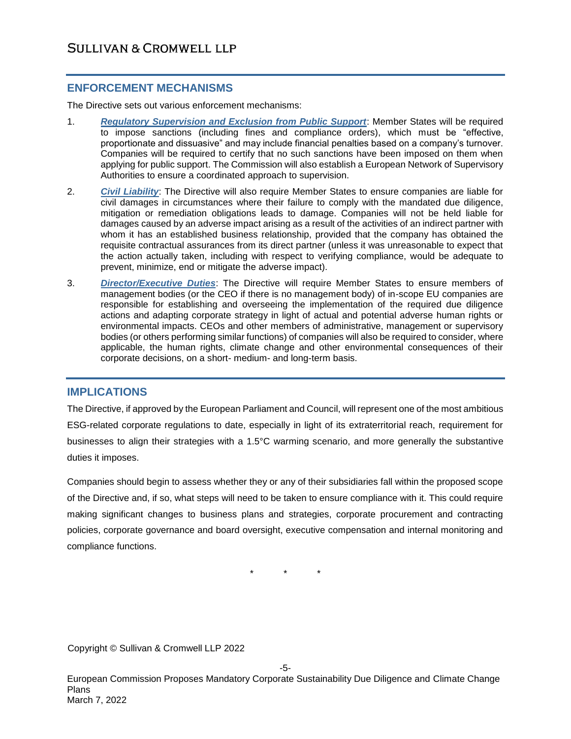## **ENFORCEMENT MECHANISMS**

The Directive sets out various enforcement mechanisms:

- 1. *Regulatory Supervision and Exclusion from Public Support*: Member States will be required to impose sanctions (including fines and compliance orders), which must be "effective, proportionate and dissuasive" and may include financial penalties based on a company's turnover. Companies will be required to certify that no such sanctions have been imposed on them when applying for public support. The Commission will also establish a European Network of Supervisory Authorities to ensure a coordinated approach to supervision.
- 2. *Civil Liability*: The Directive will also require Member States to ensure companies are liable for civil damages in circumstances where their failure to comply with the mandated due diligence, mitigation or remediation obligations leads to damage. Companies will not be held liable for damages caused by an adverse impact arising as a result of the activities of an indirect partner with whom it has an established business relationship, provided that the company has obtained the requisite contractual assurances from its direct partner (unless it was unreasonable to expect that the action actually taken, including with respect to verifying compliance, would be adequate to prevent, minimize, end or mitigate the adverse impact).
- 3. *Director/Executive Duties*: The Directive will require Member States to ensure members of management bodies (or the CEO if there is no management body) of in-scope EU companies are responsible for establishing and overseeing the implementation of the required due diligence actions and adapting corporate strategy in light of actual and potential adverse human rights or environmental impacts. CEOs and other members of administrative, management or supervisory bodies (or others performing similar functions) of companies will also be required to consider, where applicable, the human rights, climate change and other environmental consequences of their corporate decisions, on a short- medium- and long-term basis.

#### **IMPLICATIONS**

The Directive, if approved by the European Parliament and Council, will represent one of the most ambitious ESG-related corporate regulations to date, especially in light of its extraterritorial reach, requirement for businesses to align their strategies with a 1.5°C warming scenario, and more generally the substantive duties it imposes.

Companies should begin to assess whether they or any of their subsidiaries fall within the proposed scope of the Directive and, if so, what steps will need to be taken to ensure compliance with it. This could require making significant changes to business plans and strategies, corporate procurement and contracting policies, corporate governance and board oversight, executive compensation and internal monitoring and compliance functions.

\* \* \*

Copyright © Sullivan & Cromwell LLP 2022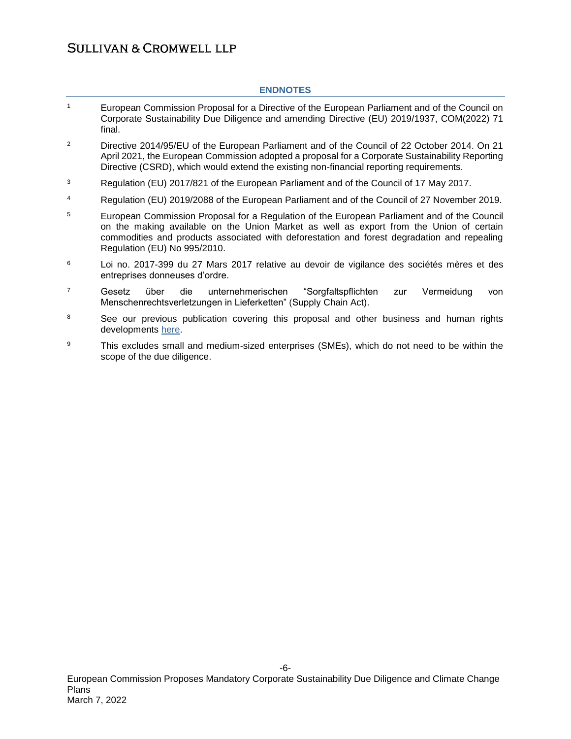#### **ENDNOTES**

- <sup>1</sup> European Commission Proposal for a Directive of the European Parliament and of the Council on Corporate Sustainability Due Diligence and amending Directive (EU) 2019/1937, COM(2022) 71 final.
- <sup>2</sup> Directive 2014/95/EU of the European Parliament and of the Council of 22 October 2014. On 21 April 2021, the European Commission adopted a proposal for a Corporate Sustainability Reporting Directive (CSRD), which would extend the existing non-financial reporting requirements.
- <sup>3</sup> Regulation (EU) 2017/821 of the European Parliament and of the Council of 17 May 2017.
- <sup>4</sup> Regulation (EU) 2019/2088 of the European Parliament and of the Council of 27 November 2019.
- <sup>5</sup> European Commission Proposal for a Regulation of the European Parliament and of the Council on the making available on the Union Market as well as export from the Union of certain commodities and products associated with deforestation and forest degradation and repealing Regulation (EU) No 995/2010.
- $6$  Loi no. 2017-399 du 27 Mars 2017 relative au devoir de vigilance des sociétés mères et des entreprises donneuses d'ordre.
- <sup>7</sup> Gesetz über die unternehmerischen "Sorgfaltspflichten zur Vermeidung von Menschenrechtsverletzungen in Lieferketten" (Supply Chain Act).
- <sup>8</sup> See our previous publication covering this proposal and other business and human rights developments [here.](https://www.sullcrom.com/sc-publication-esg-update-recent-eu-business-and-human-rights-developments)
- <sup>9</sup> This excludes small and medium-sized enterprises (SMEs), which do not need to be within the scope of the due diligence.